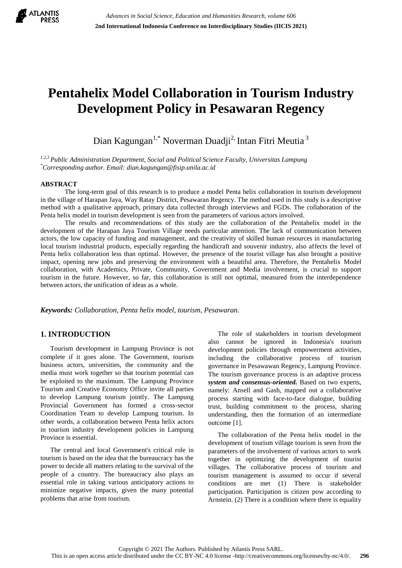

# **Pentahelix Model Collaboration in Tourism Industry Development Policy in Pesawaran Regency**

Dian Kagungan<sup>1,\*</sup> Noverman Duadji<sup>2,</sup> Intan Fitri Meutia<sup>3</sup>

*1,2,3 Public Administration Department, Social and Political Science Faculty, Universitas Lampung \*Corresponding author. Email: dian.kagungan@fisip.unila.ac.id*

#### **ABSTRACT**

The long-term goal of this research is to produce a model Penta helix collaboration in tourism development in the village of Harapan Jaya, Way Ratay District, Pesawaran Regency. The method used in this study is a descriptive method with a qualitative approach, primary data collected through interviews and FGDs. The collaboration of the Penta helix model in tourism development is seen from the parameters of various actors involved.

The results and recommendations of this study are the collaboration of the Pentahelix model in the development of the Harapan Jaya Tourism Village needs particular attention. The lack of communication between actors, the low capacity of funding and management, and the creativity of skilled human resources in manufacturing local tourism industrial products, especially regarding the handicraft and souvenir industry, also affects the level of Penta helix collaboration less than optimal. However, the presence of the tourist village has also brought a positive impact, opening new jobs and preserving the environment with a beautiful area. Therefore, the Pentahelix Model collaboration, with Academics, Private, Community, Government and Media involvement, is crucial to support tourism in the future. However, so far, this collaboration is still not optimal, measured from the interdependence between actors, the unification of ideas as a whole.

*Keywords: Collaboration, Penta helix model, tourism, Pesawaran.*

## **1. INTRODUCTION**

Tourism development in Lampung Province is not complete if it goes alone. The Government, tourism business actors, universities, the community and the media must work together so that tourism potential can be exploited to the maximum. The Lampung Province Tourism and Creative Economy Office invite all parties to develop Lampung tourism jointly. The Lampung Provincial Government has formed a cross-sector Coordination Team to develop Lampung tourism. In other words, a collaboration between Penta helix actors in tourism industry development policies in Lampung Province is essential.

The central and local Government's critical role in tourism is based on the idea that the bureaucracy has the power to decide all matters relating to the survival of the people of a country. The bureaucracy also plays an essential role in taking various anticipatory actions to minimize negative impacts, given the many potential problems that arise from tourism.

The role of stakeholders in tourism development also cannot be ignored in Indonesia's tourism development policies through empowerment activities, including the collaborative process of tourism governance in Pesawawan Regency, Lampung Province. The tourism governance process is an adaptive process *system and consensus-oriented.* Based on two experts, namely: Ansell and Gash, mapped out a collaborative process starting with face-to-face dialogue, building trust, building commitment to the process, sharing understanding, then the formation of an intermediate outcome [1].

The collaboration of the Penta helix model in the development of tourism village tourism is seen from the parameters of the involvement of various actors to work together in optimizing the development of tourist villages. The collaborative process of tourism and tourism management is assumed to occur if several conditions are met (1) There is stakeholder participation. Participation is citizen pow according to Arnstein. (2) There is a condition where there is equality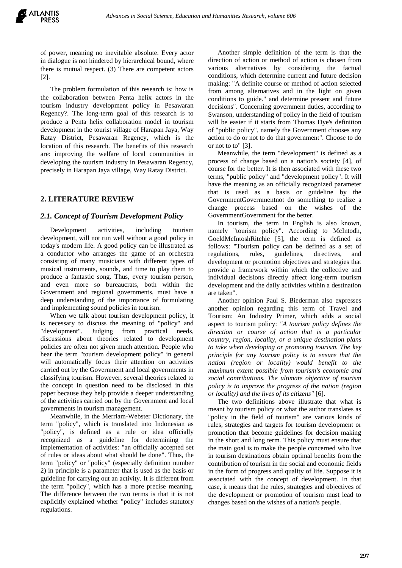of power, meaning no inevitable absolute. Every actor in dialogue is not hindered by hierarchical bound, where there is mutual respect. (3) There are competent actors [2].

The problem formulation of this research is: how is the collaboration between Penta helix actors in the tourism industry development policy in Pesawaran Regency?. The long-term goal of this research is to produce a Penta helix collaboration model in tourism development in the tourist village of Harapan Jaya, Way Ratay District, Pesawaran Regency, which is the location of this research. The benefits of this research are: improving the welfare of local communities in developing the tourism industry in Pesawaran Regency, precisely in Harapan Jaya village, Way Ratay District.

## **2. LITERATURE REVIEW**

#### *2.1. Concept of Tourism Development Policy*

Development activities, including tourism development, will not run well without a good policy in today's modern life. A good policy can be illustrated as a conductor who arranges the game of an orchestra consisting of many musicians with different types of musical instruments, sounds, and time to play them to produce a fantastic song. Thus, every tourism person, and even more so bureaucrats, both within the Government and regional governments, must have a deep understanding of the importance of formulating and implementing sound policies in tourism.

When we talk about tourism development policy, it is necessary to discuss the meaning of "policy" and "development". Judging from practical needs, discussions about theories related to development policies are often not given much attention. People who hear the term "tourism development policy" in general will automatically focus their attention on activities carried out by the Government and local governments in classifying tourism. However, several theories related to the concept in question need to be disclosed in this paper because they help provide a deeper understanding of the activities carried out by the Government and local governments in tourism management.

Meanwhile, in the Merriam-Webster Dictionary, the term "policy", which is translated into Indonesian as "policy", is defined as a rule or idea officially recognized as a guideline for determining the implementation of activities: "an officially accepted set of rules or ideas about what should be done". Thus, the term "policy" or "policy" (especially definition number 2) in principle is a parameter that is used as the basis or guideline for carrying out an activity. It is different from the term "policy", which has a more precise meaning. The difference between the two terms is that it is not explicitly explained whether "policy" includes statutory regulations.

Another simple definition of the term is that the direction of action or method of action is chosen from various alternatives by considering the factual conditions, which determine current and future decision making: "A definite course or method of action selected from among alternatives and in the light on given conditions to guide." and determine present and future decisions". Concerning government duties, according to Swanson, understanding of policy in the field of tourism will be easier if it starts from Thomas Dye's definition of "public policy", namely the Government chooses any action to do or not to do that government". Choose to do or not to to" [3].

Meanwhile, the term "development" is defined as a process of change based on a nation's society [4], of course for the better. It is then associated with these two terms, "public policy" and "development policy". It will have the meaning as an officially recognized parameter that is used as a basis or guideline by the GovernmentGovernmentnot do something to realize a change process based on the wishes of the GovernmentGovernment for the better.

In tourism, the term in English is also known, namely "tourism policy". According to McIntodh, GoeldMcIntoshRitchie [5], the term is defined as follows: "Tourism policy can be defined as a set of regulations, rules, guidelines, directives, and development or promotion objectives and strategies that provide a framework within which the collective and individual decisions directly affect long-term tourism development and the daily activities within a destination are taken".

Another opinion Paul S. Biederman also expresses another opinion regarding this term of Travel and Tourism: An Industry Primer, which adds a social aspect to tourism policy: *"A tourism policy defines the direction or course of action that is a particular country, region, locality, or a unique destination plans to take when developing or promoting tourism. The key principle for any tourism policy is to ensure that the nation (region or locality) would benefit to the maximum extent possible from tourism's economic and social contributions. The ultimate objective of tourism policy is to improve the progress of the nation (region or locality) and the lives of its citizens"* [6].

The two definitions above illustrate that what is meant by tourism policy or what the author translates as "policy in the field of tourism" are various kinds of rules, strategies and targets for tourism development or promotion that become guidelines for decision making in the short and long term. This policy must ensure that the main goal is to make the people concerned who live in tourism destinations obtain optimal benefits from the contribution of tourism in the social and economic fields in the form of progress and quality of life. Suppose it is associated with the concept of development. In that case, it means that the rules, strategies and objectives of the development or promotion of tourism must lead to changes based on the wishes of a nation's people.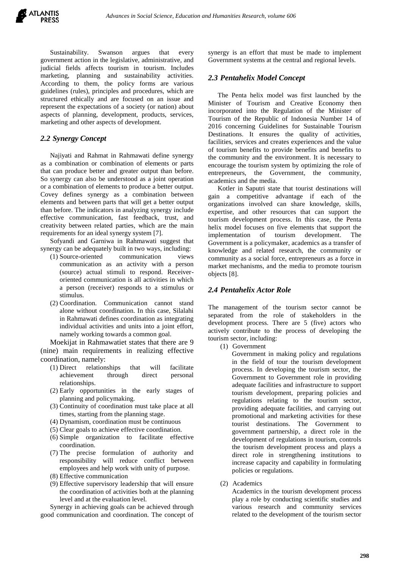Sustainability. Swanson argues that every government action in the legislative, administrative, and judicial fields affects tourism in tourism. Includes marketing, planning and sustainability activities. According to them, the policy forms are various guidelines (rules), principles and procedures, which are structured ethically and are focused on an issue and represent the expectations of a society (or nation) about aspects of planning, development, products, services, marketing and other aspects of development.

## *2.2 Synergy Concept*

Najiyati and Rahmat in Rahmawati define synergy as a combination or combination of elements or parts that can produce better and greater output than before. So synergy can also be understood as a joint operation or a combination of elements to produce a better output. Covey defines synergy as a combination between elements and between parts that will get a better output than before. The indicators in analyzing synergy include effective communication, fast feedback, trust, and creativity between related parties, which are the main requirements for an ideal synergy system [7].

Sofyandi and Garniwa in Rahmawati suggest that synergy can be adequately built in two ways, including:

- (1) Source-oriented communication views communication as an activity with a person (source) actual stimuli to respond. Receiveroriented communication is all activities in which a person (receiver) responds to a stimulus or stimulus.
- (2) Coordination. Communication cannot stand alone without coordination. In this case, Silalahi in Rahmawati defines coordination as integrating individual activities and units into a joint effort, namely working towards a common goal.

Moekijat in Rahmawatiet states that there are 9 (nine) main requirements in realizing effective coordination, namely:

- (1) Direct relationships that will facilitate achievement through direct personal relationships.
- (2) Early opportunities in the early stages of planning and policymaking.
- (3) Continuity of coordination must take place at all times, starting from the planning stage.
- (4) Dynamism, coordination must be continuous
- (5) Clear goals to achieve effective coordination.
- (6) Simple organization to facilitate effective coordination.
- (7) The precise formulation of authority and responsibility will reduce conflict between employees and help work with unity of purpose.
- (8) Effective communication
- (9) Effective supervisory leadership that will ensure the coordination of activities both at the planning level and at the evaluation level.

Synergy in achieving goals can be achieved through good communication and coordination. The concept of synergy is an effort that must be made to implement Government systems at the central and regional levels.

## *2.3 Pentahelix Model Concept*

The Penta helix model was first launched by the Minister of Tourism and Creative Economy then incorporated into the Regulation of the Minister of Tourism of the Republic of Indonesia Number 14 of 2016 concerning Guidelines for Sustainable Tourism Destinations. It ensures the quality of activities, facilities, services and creates experiences and the value of tourism benefits to provide benefits and benefits to the community and the environment. It is necessary to encourage the tourism system by optimizing the role of entrepreneurs, the Government, the community, academics and the media.

Kotler in Saputri state that tourist destinations will gain a competitive advantage if each of the organizations involved can share knowledge, skills, expertise, and other resources that can support the tourism development process. In this case, the Penta helix model focuses on five elements that support the implementation of tourism development. The Government is a policymaker, academics as a transfer of knowledge and related research, the community or community as a social force, entrepreneurs as a force in market mechanisms, and the media to promote tourism objects [8].

## *2.4 Pentahelix Actor Role*

The management of the tourism sector cannot be separated from the role of stakeholders in the development process. There are 5 (five) actors who actively contribute to the process of developing the tourism sector, including:

(1) Government

Government in making policy and regulations in the field of tour the tourism development process. In developing the tourism sector, the Government to Government role in providing adequate facilities and infrastructure to support tourism development, preparing policies and regulations relating to the tourism sector, providing adequate facilities, and carrying out promotional and marketing activities for these tourist destinations. The Government to government partnership, a direct role in the development of regulations in tourism, controls the tourism development process and plays a direct role in strengthening institutions to increase capacity and capability in formulating policies or regulations.

(2) Academics

Academics in the tourism development process play a role by conducting scientific studies and various research and community services related to the development of the tourism sector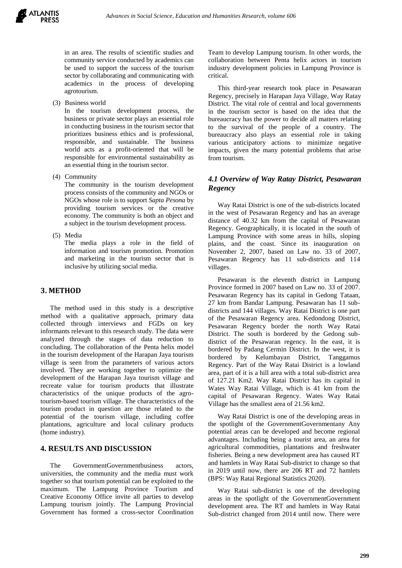

in an area. The results of scientific studies and community service conducted by academics can be used to support the success of the tourism sector by collaborating and communicating with academics in the process of developing agrotourism.

(3) Business world

In the tourism development process, the business or private sector plays an essential role in conducting business in the tourism sector that prioritizes business ethics and is professional, responsible, and sustainable. The business world acts as a profit-oriented that will be responsible for environmental sustainability as an essential thing in the tourism sector.

(4) Community

The community in the tourism development process consists of the community and NGOs or NGOs whose role is to support *Sapta Pesona* by providing tourism services or the creative economy. The community is both an object and a subject in the tourism development process.

(5) Media

The media plays a role in the field of information and tourism promotion. Promotion and marketing in the tourism sector that is inclusive by utilizing social media.

## **3. METHOD**

The method used in this study is a descriptive method with a qualitative approach, primary data collected through interviews and FGDs on key informants relevant to this research study. The data were analyzed through the stages of data reduction to concluding. The collaboration of the Penta helix model in the tourism development of the Harapan Jaya tourism village is seen from the parameters of various actors involved. They are working together to optimize the development of the Harapan Jaya tourism village and recreate value for tourism products that illustrate characteristics of the unique products of the agrotourism-based tourism village. The characteristics of the tourism product in question are those related to the potential of the tourism village, including coffee plantations, agriculture and local culinary products (home industry).

## **4. RESULTS AND DISCUSSION**

The GovernmentGovernmentbusiness actors, universities, the community and the media must work together so that tourism potential can be exploited to the maximum. The Lampung Province Tourism and Creative Economy Office invite all parties to develop Lampung tourism jointly. The Lampung Provincial Government has formed a cross-sector Coordination Team to develop Lampung tourism. In other words, the collaboration between Penta helix actors in tourism industry development policies in Lampung Province is critical.

This third-year research took place in Pesawaran Regency, precisely in Harapan Jaya Village, Way Ratay District. The vital role of central and local governments in the tourism sector is based on the idea that the bureaucracy has the power to decide all matters relating to the survival of the people of a country. The bureaucracy also plays an essential role in taking various anticipatory actions to minimize negative impacts, given the many potential problems that arise from tourism.

## *4.1 Overview of Way Ratay District, Pesawaran Regency*

Way Ratai District is one of the sub-districts located in the west of Pesawaran Regency and has an average distance of 40.32 km from the capital of Pesawaran Regency. Geographically, it is located in the south of Lampung Province with some areas in hills, sloping plains, and the coast. Since its inauguration on November 2, 2007, based on Law no. 33 of 2007, Pesawaran Regency has 11 sub-districts and 114 villages.

Pesawaran is the eleventh district in Lampung Province formed in 2007 based on Law no. 33 of 2007. Pesawaran Regency has its capital in Gedong Tataan, 27 km from Bandar Lampung. Pesawaran has 11 subdistricts and 144 villages. Way Ratai District is one part of the Pesawaran Regency area. Kedondong District, Pesawaran Regency border the north Way Ratai District. The south is bordered by the Gedong subdistrict of the Pesawaran regency. In the east, it is bordered by Padang Cermin District. In the west, it is bordered by Kelumbayan District, Tanggamus Regency. Part of the Way Ratai District is a lowland area, part of it is a hill area with a total sub-district area of 127.21 Km2. Way Ratai District has its capital in Wates Way Ratai Village, which is 41 km from the capital of Pesawaran Regency. Wates Way Ratai Village has the smallest area of 21.56 km2.

Way Ratai District is one of the developing areas in the spotlight of the GovernmentGovernmentany Any potential areas can be developed and become regional advantages. Including being a tourist area, an area for agricultural commodities, plantations and freshwater fisheries. Being a new development area has caused RT and hamlets in Way Ratai Sub-district to change so that in 2019 until now, there are 206 RT and 72 hamlets (BPS: Way Ratai Regional Statistics 2020).

Way Ratai sub-district is one of the developing areas in the spotlight of the GovernmentGovernment development area. The RT and hamlets in Way Ratai Sub-district changed from 2014 until now. There were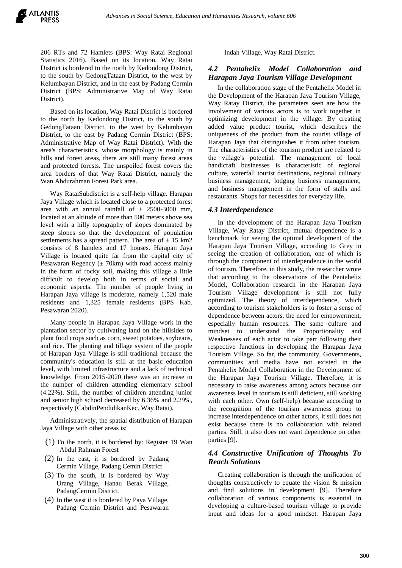206 RTs and 72 Hamlets (BPS: Way Ratai Regional Statistics 2016). Based on its location, Way Ratai District is bordered to the north by Kedondong District, to the south by GedongTataan District, to the west by Kelumbayan District, and in the east by Padang Cermin District (BPS: Administrative Map of Way Ratai District).

Based on its location, Way Ratai District is bordered to the north by Kedondong District, to the south by GedongTataan District, to the west by Kelumbayan District, to the east by Padang Cermin District (BPS: Administrative Map of Way Ratai District). With the area's characteristics, whose morphology is mainly in hills and forest areas, there are still many forest areas and protected forests. The unspoiled forest covers the area borders of that Way Ratai District, namely the Wan Abdurahman Forest Park area.

Way RataiSubdistrict is a self-help village. Harapan Jaya Village which is located close to a protected forest area with an annual rainfall of  $\pm$  2500-3000 mm, located at an altitude of more than 500 meters above sea level with a hilly topography of slopes dominated by steep slopes so that the development of population settlements has a spread pattern. The area of  $\pm$  15 km2 consists of 8 hamlets and 17 houses. Harapan Jaya Village is located quite far from the capital city of Pesawaran Regency  $(\pm 70km)$  with road access mainly in the form of rocky soil, making this village a little difficult to develop both in terms of social and economic aspects. The number of people living in Harapan Jaya village is moderate, namely 1,520 male residents and 1,325 female residents (BPS Kab. Pesawaran 2020).

Many people in Harapan Jaya Village work in the plantation sector by cultivating land on the hillsides to plant food crops such as corn, sweet potatoes, soybeans, and rice. The planting and tillage system of the people of Harapan Jaya Village is still traditional because the community's education is still at the basic education level, with limited infrastructure and a lack of technical knowledge. From 2015-2020 there was an increase in the number of children attending elementary school (4.22%). Still, the number of children attending junior and senior high school decreased by 6.36% and 2.29%, respectively (CabdinPendidikanKec. Way Ratai).

Administratively, the spatial distribution of Harapan Jaya Village with other areas is:

- (1) To the north, it is bordered by: Register 19 Wan Abdul Rahman Forest
- (2) In the east, it is bordered by Padang Cermin Village, Padang Cemin District
- (3) To the south, it is bordered by Way Urang Village, Hanau Berak Village, PadangCermin District.
- (4) In the west it is bordered by Paya Village, Padang Cermin District and Pesawaran

Indah Village, Way Ratai District.

## *4.2 Pentahelix Model Collaboration and Harapan Jaya Tourism Village Development*

In the collaboration stage of the Pentahelix Model in the Development of the Harapan Jaya Tourism Village, Way Ratay District, the parameters seen are how the involvement of various actors is to work together in optimizing development in the village. By creating added value product tourist, which describes the uniqueness of the product from the tourist village of Harapan Jaya that distinguishes it from other tourism. The characteristics of the tourism product are related to the village's potential. The management of local handicraft businesses is characteristic of regional culture, waterfall tourist destinations, regional culinary business management, lodging business management, and business management in the form of stalls and restaurants. Shops for necessities for everyday life.

#### *4.3 Interdependence*

In the development of the Harapan Jaya Tourism Village, Way Ratay District, mutual dependence is a benchmark for seeing the optimal development of the Harapan Jaya Tourism Village, according to Grey in seeing the creation of collaboration, one of which is through the component of interdependence in the world of tourism. Therefore, in this study, the researcher wrote that according to the observations of the Pentahelix Model, Collaboration research in the Harapan Jaya Tourism Village development is still not fully optimized. The theory of interdependence, which according to tourism stakeholders is to foster a sense of dependence between actors, the need for empowerment, especially human resources. The same culture and mindset to understand the Proportionality and Weaknesses of each actor to take part following their respective functions in developing the Harapan Jaya Tourism Village. So far, the community, Governments, communities and media have not existed in the Pentahelix Model Collaboration in the Development of the Harapan Jaya Tourism Village. Therefore, it is necessary to raise awareness among actors because our awareness level in tourism is still deficient, still working with each other. Own (self-help) because according to the recognition of the tourism awareness group to increase interdependence on other actors, it still does not exist because there is no collaboration with related parties. Still, it also does not want dependence on other parties [9].

## *4.4 Constructive Unification of Thoughts To Reach Solutions*

Creating collaboration is through the unification of thoughts constructively to equate the vision & mission and find solutions in development [9]. Therefore collaboration of various components is essential in developing a culture-based tourism village to provide input and ideas for a good mindset. Harapan Jaya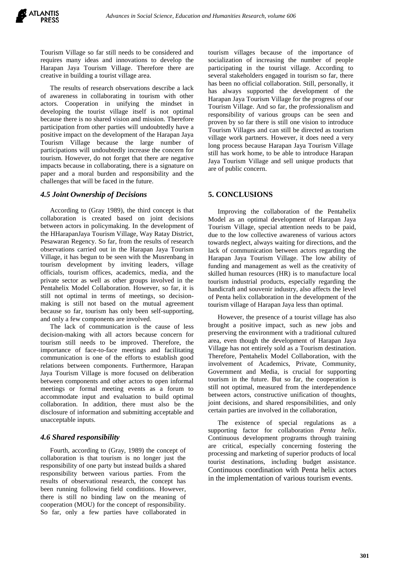Tourism Village so far still needs to be considered and requires many ideas and innovations to develop the Harapan Jaya Tourism Village. Therefore there are creative in building a tourist village area.

The results of research observations describe a lack of awareness in collaborating in tourism with other actors. Cooperation in unifying the mindset in developing the tourist village itself is not optimal because there is no shared vision and mission. Therefore participation from other parties will undoubtedly have a positive impact on the development of the Harapan Jaya Tourism Village because the large number of participations will undoubtedly increase the concern for tourism. However, do not forget that there are negative impacts because in collaborating, there is a signature on paper and a moral burden and responsibility and the challenges that will be faced in the future.

#### *4.5 Joint Ownership of Decisions*

According to (Gray 1989), the third concept is that collaboration is created based on joint decisions between actors in policymaking. In the development of the HHarapanJaya Tourism Village, Way Ratay District, Pesawaran Regency. So far, from the results of research observations carried out in the Harapan Jaya Tourism Village, it has begun to be seen with the Musrenbang in tourism development by inviting leaders, village officials, tourism offices, academics, media, and the private sector as well as other groups involved in the Pentahelix Model Collaboration. However, so far, it is still not optimal in terms of meetings, so decisionmaking is still not based on the mutual agreement because so far, tourism has only been self-supporting, and only a few components are involved.

The lack of communication is the cause of less decision-making with all actors because concern for tourism still needs to be improved. Therefore, the importance of face-to-face meetings and facilitating communication is one of the efforts to establish good relations between components. Furthermore, Harapan Jaya Tourism Village is more focused on deliberation between components and other actors to open informal meetings or formal meeting events as a forum to accommodate input and evaluation to build optimal collaboration. In addition, there must also be the disclosure of information and submitting acceptable and unacceptable inputs.

#### *4.6 Shared responsibility*

Fourth, according to (Gray, 1989) the concept of collaboration is that tourism is no longer just the responsibility of one party but instead builds a shared responsibility between various parties. From the results of observational research, the concept has been running following field conditions. However, there is still no binding law on the meaning of cooperation (MOU) for the concept of responsibility. So far, only a few parties have collaborated in

tourism villages because of the importance of socialization of increasing the number of people participating in the tourist village. According to several stakeholders engaged in tourism so far, there has been no official collaboration. Still, personally, it has always supported the development of the Harapan Jaya Tourism Village for the progress of our Tourism Village. And so far, the professionalism and responsibility of various groups can be seen and proven by so far there is still one vision to introduce Tourism Villages and can still be directed as tourism village work partners. However, it does need a very long process because Harapan Jaya Tourism Village still has work home, to be able to introduce Harapan Jaya Tourism Village and sell unique products that are of public concern.

#### **5. CONCLUSIONS**

Improving the collaboration of the Pentahelix Model as an optimal development of Harapan Jaya Tourism Village, special attention needs to be paid, due to the low collective awareness of various actors towards neglect, always waiting for directions, and the lack of communication between actors regarding the Harapan Jaya Tourism Village. The low ability of funding and management as well as the creativity of skilled human resources (HR) is to manufacture local tourism industrial products, especially regarding the handicraft and souvenir industry, also affects the level of Penta helix collaboration in the development of the tourism village of Harapan Jaya less than optimal.

However, the presence of a tourist village has also brought a positive impact, such as new jobs and preserving the environment with a traditional cultured area, even though the development of Harapan Jaya Village has not entirely sold as a Tourism destination. Therefore, Pentahelix Model Collaboration, with the involvement of Academics, Private, Community, Government and Media, is crucial for supporting tourism in the future. But so far, the cooperation is still not optimal, measured from the interdependence between actors, constructive unification of thoughts, joint decisions, and shared responsibilities, and only certain parties are involved in the collaboration,

The existence of special regulations as a supporting factor for collaboration *Penta helix*. Continuous development programs through training are critical, especially concerning fostering the processing and marketing of superior products of local tourist destinations, including budget assistance. Continuous coordination with Penta helix actors in the implementation of various tourism events.